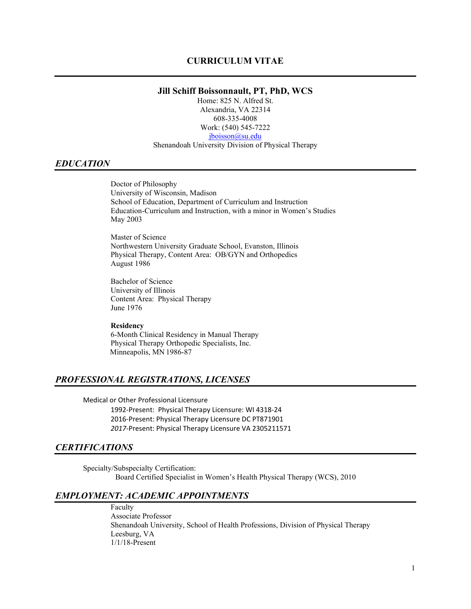### **Jill Schiff Boissonnault, PT, PhD, WCS**

Home: 825 N. Alfred St. Alexandria, VA 22314 608-335-4008 Work: (540) 545-7222 [jboisson@su.edu](mailto:jboisson@su.edu)

Shenandoah University Division of Physical Therapy

### *EDUCATION*

Doctor of Philosophy University of Wisconsin, Madison School of Education, Department of Curriculum and Instruction Education-Curriculum and Instruction, with a minor in Women's Studies May 2003

Master of Science Northwestern University Graduate School, Evanston, Illinois Physical Therapy, Content Area: OB/GYN and Orthopedics August 1986

Bachelor of Science University of Illinois Content Area: Physical Therapy June 1976

#### **Residency**

6-Month Clinical Residency in Manual Therapy Physical Therapy Orthopedic Specialists, Inc. Minneapolis, MN 1986-87

## *PROFESSIONAL REGISTRATIONS, LICENSES*

Medical or Other Professional Licensure

1992-Present: Physical Therapy Licensure: WI 4318-24 2016-Present: Physical Therapy Licensure DC PT871901 *2017-*Present: Physical Therapy Licensure VA 2305211571

#### *CERTIFICATIONS*

Specialty/Subspecialty Certification: Board Certified Specialist in Women's Health Physical Therapy (WCS), 2010

### *EMPLOYMENT: ACADEMIC APPOINTMENTS*

Faculty Associate Professor Shenandoah University, School of Health Professions, Division of Physical Therapy Leesburg, VA 1/1/18-Present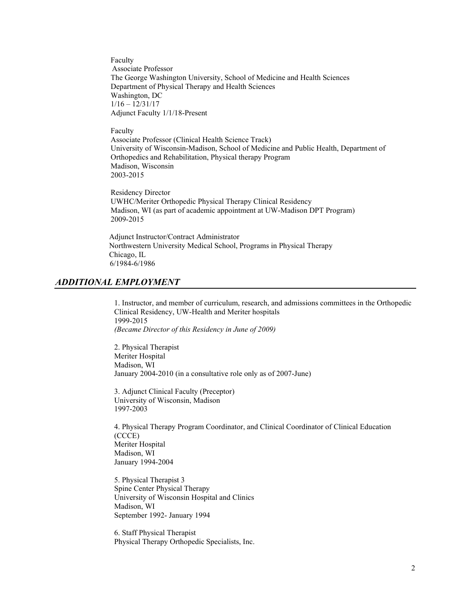Faculty Associate Professor The George Washington University, School of Medicine and Health Sciences Department of Physical Therapy and Health Sciences Washington, DC 1/16 – 12/31/17 Adjunct Faculty 1/1/18-Present

#### Faculty

Associate Professor (Clinical Health Science Track) University of Wisconsin-Madison, School of Medicine and Public Health, Department of Orthopedics and Rehabilitation, Physical therapy Program Madison, Wisconsin 2003-2015

 Residency Director UWHC/Meriter Orthopedic Physical Therapy Clinical Residency Madison, WI (as part of academic appointment at UW-Madison DPT Program) 2009-2015

 Adjunct Instructor/Contract Administrator Northwestern University Medical School, Programs in Physical Therapy Chicago, IL 6/1984-6/1986

### *ADDITIONAL EMPLOYMENT*

1. Instructor, and member of curriculum, research, and admissions committees in the Orthopedic Clinical Residency, UW-Health and Meriter hospitals 1999-2015 *(Became Director of this Residency in June of 2009)*

2. Physical Therapist Meriter Hospital Madison, WI January 2004-2010 (in a consultative role only as of 2007-June)

3. Adjunct Clinical Faculty (Preceptor) University of Wisconsin, Madison 1997-2003

4. Physical Therapy Program Coordinator, and Clinical Coordinator of Clinical Education (CCCE) Meriter Hospital Madison, WI January 1994-2004

5. Physical Therapist 3 Spine Center Physical Therapy University of Wisconsin Hospital and Clinics Madison, WI September 1992- January 1994

6. Staff Physical Therapist Physical Therapy Orthopedic Specialists, Inc.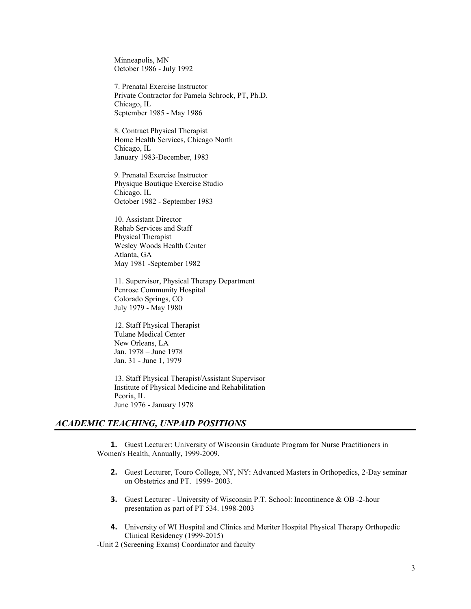Minneapolis, MN October 1986 - July 1992

7. Prenatal Exercise Instructor Private Contractor for Pamela Schrock, PT, Ph.D. Chicago, IL September 1985 - May 1986

8. Contract Physical Therapist Home Health Services, Chicago North Chicago, IL January 1983-December, 1983

9. Prenatal Exercise Instructor Physique Boutique Exercise Studio Chicago, IL October 1982 - September 1983

10. Assistant Director Rehab Services and Staff Physical Therapist Wesley Woods Health Center Atlanta, GA May 1981 -September 1982

11. Supervisor, Physical Therapy Department Penrose Community Hospital Colorado Springs, CO July 1979 - May 1980

12. Staff Physical Therapist Tulane Medical Center New Orleans, LA Jan. 1978 – June 1978 Jan. 31 - June 1, 1979

13. Staff Physical Therapist/Assistant Supervisor Institute of Physical Medicine and Rehabilitation Peoria, IL June 1976 - January 1978

#### *ACADEMIC TEACHING, UNPAID POSITIONS*

**1.** Guest Lecturer: University of Wisconsin Graduate Program for Nurse Practitioners in Women's Health, Annually, 1999-2009.

- **2.** Guest Lecturer, Touro College, NY, NY: Advanced Masters in Orthopedics, 2-Day seminar on Obstetrics and PT. 1999- 2003.
- **3.** Guest Lecturer University of Wisconsin P.T. School: Incontinence & OB -2-hour presentation as part of PT 534. 1998-2003
- **4.** University of WI Hospital and Clinics and Meriter Hospital Physical Therapy Orthopedic Clinical Residency (1999-2015)

-Unit 2 (Screening Exams) Coordinator and faculty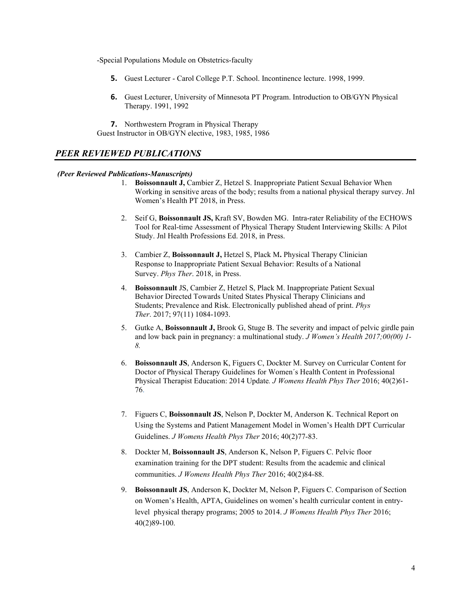-Special Populations Module on Obstetrics-faculty

- **5.** Guest Lecturer Carol College P.T. School. Incontinence lecture. 1998, 1999.
- **6.** Guest Lecturer, University of Minnesota PT Program. Introduction to OB/GYN Physical Therapy. 1991, 1992

**7.** Northwestern Program in Physical Therapy Guest Instructor in OB/GYN elective, 1983, 1985, 1986

# *PEER REVIEWED PUBLICATIONS*

### *(Peer Reviewed Publications-Manuscripts)*

- 1. **Boissonnault J,** Cambier Z, Hetzel S. Inappropriate Patient Sexual Behavior When Working in sensitive areas of the body; results from a national physical therapy survey. Jnl Women's Health PT 2018, in Press.
- 2. Seif G, **Boissonnault JS,** Kraft SV, Bowden MG. Intra-rater Reliability of the ECHOWS Tool for Real-time Assessment of Physical Therapy Student Interviewing Skills: A Pilot Study. Jnl Health Professions Ed. 2018, in Press.
- 3. Cambier Z, **Boissonnault J,** Hetzel S, Plack M**.** Physical Therapy Clinician Response to Inappropriate Patient Sexual Behavior: Results of a National Survey. *Phys Ther*. 2018, in Press.
- 4. **Boissonnault** JS, Cambier Z, Hetzel S, Plack M. Inappropriate Patient Sexual Behavior Directed Towards United States Physical Therapy Clinicians and Students; Prevalence and Risk. Electronically published ahead of print. *Phys Ther*. 2017; 97(11) 1084-1093.
- 5. Gutke A, **Boissonnault J,** Brook G, Stuge B. The severity and impact of pelvic girdle pain and low back pain in pregnancy: a multinational study. *J Women's Health 2017;00(00) 1- 8.*
- 6. **Boissonnault JS**, Anderson K, Figuers C, Dockter M. Survey on Curricular Content for Doctor of Physical Therapy Guidelines for Women´s Health Content in Professional Physical Therapist Education: 2014 Update*. J Womens Health Phys Ther* 2016; 40(2)61- 76.
- 7. Figuers C, **Boissonnault JS**, Nelson P, Dockter M, Anderson K. Technical Report on Using the Systems and Patient Management Model in Women's Health DPT Curricular Guidelines. *J Womens Health Phys Ther* 2016; 40(2)77-83.
- 8. Dockter M, **Boissonnault JS**, Anderson K, Nelson P, Figuers C. Pelvic floor examination training for the DPT student: Results from the academic and clinical communities. *J Womens Health Phys Ther* 2016; 40(2)84-88.
- 9. **Boissonnault JS**, Anderson K, Dockter M, Nelson P, Figuers C. Comparison of Section on Women's Health, APTA, Guidelines on women's health curricular content in entrylevel physical therapy programs; 2005 to 2014. *J Womens Health Phys Ther* 2016; 40(2)89-100.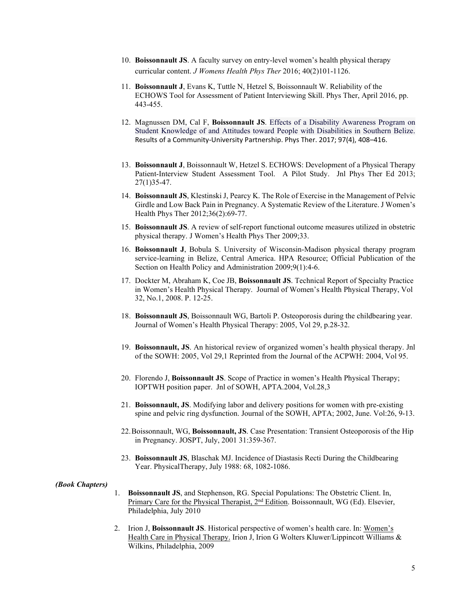- 10. **Boissonnault JS**. A faculty survey on entry-level women's health physical therapy curricular content. *J Womens Health Phys Ther* 2016; 40(2)101-1126.
- 11. **Boissonnault J**, Evans K, Tuttle N, Hetzel S, Boissonnault W. Reliability of the ECHOWS Tool for Assessment of Patient Interviewing Skill. Phys Ther, April 2016, pp. 443-455.
- 12. Magnussen DM, Cal F, **Boissonnault JS**. Effects of a Disability Awareness Program on Student Knowledge of and Attitudes toward People with Disabilities in Southern Belize. Results of a Community-University Partnership. Phys Ther. 2017; 97(4), 408–416.
- 13. **Boissonnault J**, Boissonnault W, Hetzel S. ECHOWS: Development of a Physical Therapy Patient-Interview Student Assessment Tool. A Pilot Study. Jnl Phys Ther Ed 2013; 27(1)35-47.
- 14. **Boissonnault JS**, Klestinski J, Pearcy K. The Role of Exercise in the Management of Pelvic Girdle and Low Back Pain in Pregnancy. A Systematic Review of the Literature. J Women's Health Phys Ther 2012;36(2):69-77.
- 15. **Boissonnault JS**. A review of self-report functional outcome measures utilized in obstetric physical therapy. J Women's Health Phys Ther 2009;33.
- 16. **Boissonnault J**, Bobula S. University of Wisconsin-Madison physical therapy program service-learning in Belize, Central America. HPA Resource; Official Publication of the Section on Health Policy and Administration 2009;9(1):4-6.
- 17. Dockter M, Abraham K, Coe JB, **Boissonnault JS**. Technical Report of Specialty Practice in Women's Health Physical Therapy. Journal of Women's Health Physical Therapy, Vol 32, No.1, 2008. P. 12-25.
- 18. **Boissonnault JS**, Boissonnault WG, Bartoli P. Osteoporosis during the childbearing year. Journal of Women's Health Physical Therapy: 2005, Vol 29, p.28-32.
- 19. **Boissonnault, JS**. An historical review of organized women's health physical therapy. Jnl of the SOWH: 2005, Vol 29,1 Reprinted from the Journal of the ACPWH: 2004, Vol 95.
- 20. Florendo J, **Boissonnault JS**. Scope of Practice in women's Health Physical Therapy; IOPTWH position paper. Jnl of SOWH, APTA.2004, Vol.28,3
- 21. **Boissonnault, JS**. Modifying labor and delivery positions for women with pre-existing spine and pelvic ring dysfunction. Journal of the SOWH, APTA; 2002, June. Vol:26, 9-13.
- 22.Boissonnault, WG, **Boissonnault, JS**. Case Presentation: Transient Osteoporosis of the Hip in Pregnancy. JOSPT, July, 2001 31:359-367.
- 23. **Boissonnault JS**, Blaschak MJ. Incidence of Diastasis Recti During the Childbearing Year. PhysicalTherapy, July 1988: 68, 1082-1086.

#### *(Book Chapters)*

- 1. **Boissonnault JS**, and Stephenson, RG. Special Populations: The Obstetric Client. In, Primary Care for the Physical Therapist, 2<sup>nd</sup> Edition. Boissonnault, WG (Ed). Elsevier, Philadelphia, July 2010
- 2. Irion J, **Boissonnault JS**. Historical perspective of women's health care. In: Women's Health Care in Physical Therapy. Irion J, Irion G Wolters Kluwer/Lippincott Williams & Wilkins, Philadelphia, 2009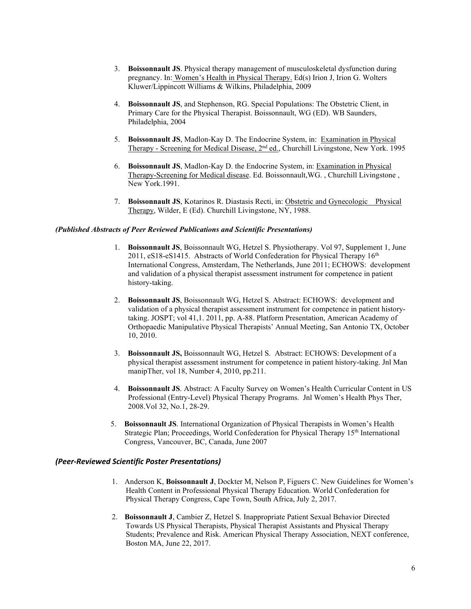- 3. **Boissonnault JS**. Physical therapy management of musculoskeletal dysfunction during pregnancy. In: Women's Health in Physical Therapy. Ed(s) Irion J, Irion G. Wolters Kluwer/Lippincott Williams & Wilkins, Philadelphia, 2009
- 4. **Boissonnault JS**, and Stephenson, RG. Special Populations: The Obstetric Client, in Primary Care for the Physical Therapist. Boissonnault, WG (ED). WB Saunders, Philadelphia, 2004
- 5. **Boissonnault JS**, Madlon-Kay D. The Endocrine System, in: Examination in Physical Therapy - Screening for Medical Disease, 2nd ed., Churchill Livingstone, New York. 1995
- 6. **Boissonnault JS**, Madlon-Kay D. the Endocrine System, in: Examination in Physical Therapy-Screening for Medical disease. Ed. Boissonnault,WG. , Churchill Livingstone , New York.1991.
- 7. **Boissonnault JS**, Kotarinos R. Diastasis Recti, in: Obstetric and Gynecologic Physical Therapy, Wilder, E (Ed). Churchill Livingstone, NY, 1988.

#### *(Published Abstracts of Peer Reviewed Publications and Scientific Presentations)*

- 1. **Boissonnault JS**, Boissonnault WG, Hetzel S. Physiotherapy. Vol 97, Supplement 1, June 2011, eS18-eS1415. Abstracts of World Confederation for Physical Therapy  $16<sup>th</sup>$ International Congress, Amsterdam, The Netherlands, June 2011; ECHOWS: development and validation of a physical therapist assessment instrument for competence in patient history-taking.
- 2. **Boissonnault JS**, Boissonnault WG, Hetzel S. Abstract: ECHOWS: development and validation of a physical therapist assessment instrument for competence in patient historytaking. JOSPT; vol 41,1. 2011, pp. A-88. Platform Presentation, American Academy of Orthopaedic Manipulative Physical Therapists' Annual Meeting, San Antonio TX, October 10, 2010.
- 3. **Boissonnault JS,** Boissonnault WG, Hetzel S.Abstract: ECHOWS: Development of a physical therapist assessment instrument for competence in patient history-taking. Jnl Man manipTher, vol 18, Number 4, 2010, pp.211.
- 4. **Boissonnault JS**. Abstract: A Faculty Survey on Women's Health Curricular Content in US Professional (Entry-Level) Physical Therapy Programs. Jnl Women's Health Phys Ther, 2008.Vol 32, No.1, 28-29.
- 5. **Boissonnault JS**. International Organization of Physical Therapists in Women's Health Strategic Plan; Proceedings, World Confederation for Physical Therapy 15<sup>th</sup> International Congress, Vancouver, BC, Canada, June 2007

#### *(Peer-Reviewed Scientific Poster Presentations)*

- 1. Anderson K, **Boissonnault J**, Dockter M, Nelson P, Figuers C. New Guidelines for Women's Health Content in Professional Physical Therapy Education. World Confederation for Physical Therapy Congress, Cape Town, South Africa, July 2, 2017.
- 2. **Boissonnault J**, Cambier Z, Hetzel S. Inappropriate Patient Sexual Behavior Directed Towards US Physical Therapists, Physical Therapist Assistants and Physical Therapy Students; Prevalence and Risk. American Physical Therapy Association, NEXT conference, Boston MA, June 22, 2017.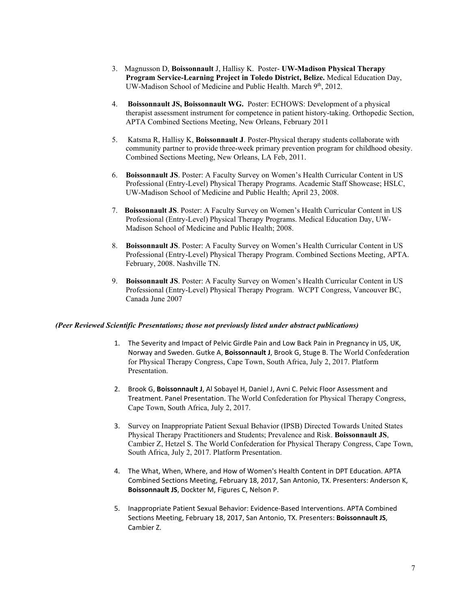- 3. Magnusson D, **Boissonnault** J, Hallisy K. Poster- **UW-Madison Physical Therapy Program Service-Learning Project in Toledo District, Belize.** Medical Education Day, UW-Madison School of Medicine and Public Health. March 9th, 2012.
- 4. **Boissonnault JS, Boissonnault WG.** Poster: ECHOWS: Development of a physical therapist assessment instrument for competence in patient history-taking. Orthopedic Section, APTA Combined Sections Meeting, New Orleans, February 2011
- 5. Katsma R, Hallisy K, **Boissonnault J**. Poster-Physical therapy students collaborate with community partner to provide three-week primary prevention program for childhood obesity. Combined Sections Meeting, New Orleans, LA Feb, 2011.
- 6. **Boissonnault JS**. Poster: A Faculty Survey on Women's Health Curricular Content in US Professional (Entry-Level) Physical Therapy Programs. Academic Staff Showcase; HSLC, UW-Madison School of Medicine and Public Health; April 23, 2008.
- 7. **Boissonnault JS**. Poster: A Faculty Survey on Women's Health Curricular Content in US Professional (Entry-Level) Physical Therapy Programs. Medical Education Day, UW-Madison School of Medicine and Public Health; 2008.
- 8. **Boissonnault JS**. Poster: A Faculty Survey on Women's Health Curricular Content in US Professional (Entry-Level) Physical Therapy Program. Combined Sections Meeting, APTA. February, 2008. Nashville TN.
- 9. **Boissonnault JS**. Poster: A Faculty Survey on Women's Health Curricular Content in US Professional (Entry-Level) Physical Therapy Program. WCPT Congress, Vancouver BC, Canada June 2007

#### *(Peer Reviewed Scientific Presentations; those not previously listed under abstract publications)*

- 1. The Severity and Impact of Pelvic Girdle Pain and Low Back Pain in Pregnancy in US, UK, Norway and Sweden. Gutke A, **Boissonnault J**, Brook G, Stuge B. The World Confederation for Physical Therapy Congress, Cape Town, South Africa, July 2, 2017. Platform Presentation.
- 2. Brook G, **Boissonnault J**, Al Sobayel H, Daniel J, Avni C. Pelvic Floor Assessment and Treatment. Panel Presentation. The World Confederation for Physical Therapy Congress, Cape Town, South Africa, July 2, 2017.
- 3. Survey on Inappropriate Patient Sexual Behavior (IPSB) Directed Towards United States Physical Therapy Practitioners and Students; Prevalence and Risk. **Boissonnault JS**, Cambier Z, Hetzel S. The World Confederation for Physical Therapy Congress, Cape Town, South Africa, July 2, 2017. Platform Presentation.
- 4. The What, When, Where, and How of Women's Health Content in DPT Education. APTA Combined Sections Meeting, February 18, 2017, San Antonio, TX. Presenters: Anderson K, **Boissonnault JS**, Dockter M, Figures C, Nelson P.
- 5. Inappropriate Patient Sexual Behavior: Evidence-Based Interventions. APTA Combined Sections Meeting, February 18, 2017, San Antonio, TX. Presenters: **Boissonnault JS**, Cambier Z.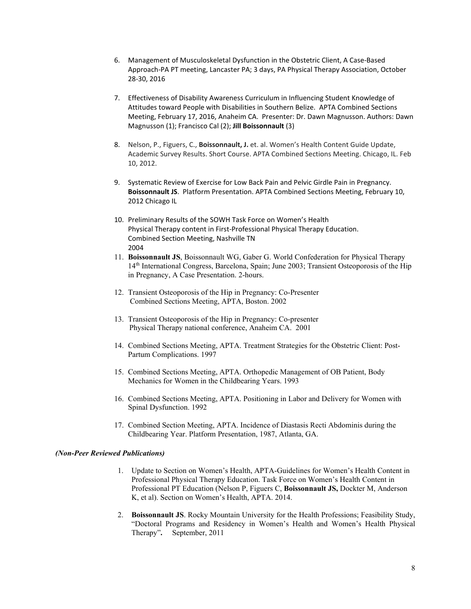- 6. Management of Musculoskeletal Dysfunction in the Obstetric Client, A Case-Based Approach-PA PT meeting, Lancaster PA; 3 days, PA Physical Therapy Association, October 28-30, 2016
- 7. Effectiveness of Disability Awareness Curriculum in Influencing Student Knowledge of Attitudes toward People with Disabilities in Southern Belize. APTA Combined Sections Meeting, February 17, 2016, Anaheim CA. Presenter: Dr. Dawn Magnusson. Authors: Dawn Magnusson (1); Francisco Cal (2); **Jill Boissonnault** (3)
- 8. Nelson, P., Figuers, C., **Boissonnault, J.** et. al. Women's Health Content Guide Update, Academic Survey Results. Short Course. APTA Combined Sections Meeting. Chicago, IL. Feb 10, 2012.
- 9. Systematic Review of Exercise for Low Back Pain and Pelvic Girdle Pain in Pregnancy. **Boissonnault JS**. Platform Presentation. APTA Combined Sections Meeting, February 10, 2012 Chicago IL
- 10. Preliminary Results of the SOWH Task Force on Women's Health Physical Therapy content in First-Professional Physical Therapy Education. Combined Section Meeting, Nashville TN 2004
- 11. **Boissonnault JS**, Boissonnault WG, Gaber G. World Confederation for Physical Therapy 14th International Congress, Barcelona, Spain; June 2003; Transient Osteoporosis of the Hip in Pregnancy, A Case Presentation. 2-hours.
- 12. Transient Osteoporosis of the Hip in Pregnancy: Co-Presenter Combined Sections Meeting, APTA, Boston. 2002
- 13. Transient Osteoporosis of the Hip in Pregnancy: Co-presenter Physical Therapy national conference, Anaheim CA. 2001
- 14. Combined Sections Meeting, APTA. Treatment Strategies for the Obstetric Client: Post-Partum Complications. 1997
- 15. Combined Sections Meeting, APTA. Orthopedic Management of OB Patient, Body Mechanics for Women in the Childbearing Years. 1993
- 16. Combined Sections Meeting, APTA. Positioning in Labor and Delivery for Women with Spinal Dysfunction. 1992
- 17. Combined Section Meeting, APTA. Incidence of Diastasis Recti Abdominis during the Childbearing Year. Platform Presentation, 1987, Atlanta, GA.

#### *(Non-Peer Reviewed Publications)*

- 1. Update to Section on Women's Health, APTA-Guidelines for Women's Health Content in Professional Physical Therapy Education. Task Force on Women's Health Content in Professional PT Education (Nelson P, Figuers C, **Boissonnault JS,** Dockter M, Anderson K, et al). Section on Women's Health, APTA. 2014.
- 2. **Boissonnault JS**. Rocky Mountain University for the Health Professions; Feasibility Study, "Doctoral Programs and Residency in Women's Health and Women's Health Physical Therapy"**.** September, 2011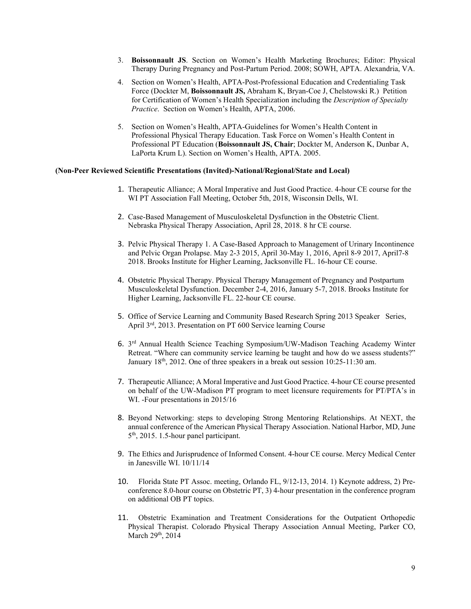- 3. **Boissonnault JS**. Section on Women's Health Marketing Brochures; Editor: Physical Therapy During Pregnancy and Post-Partum Period. 2008; SOWH, APTA. Alexandria, VA.
- 4. Section on Women's Health, APTA-Post-Professional Education and Credentialing Task Force (Dockter M, **Boissonnault JS,** Abraham K, Bryan-Coe J, Chelstowski R.) Petition for Certification of Women's Health Specialization including the *Description of Specialty Practice*. Section on Women's Health, APTA, 2006.
- 5. Section on Women's Health, APTA-Guidelines for Women's Health Content in Professional Physical Therapy Education. Task Force on Women's Health Content in Professional PT Education (**Boissonnault JS, Chair**; Dockter M, Anderson K, Dunbar A, LaPorta Krum L). Section on Women's Health, APTA. 2005.

#### **(Non-Peer Reviewed Scientific Presentations (Invited)-National/Regional/State and Local)**

- 1. Therapeutic Alliance; A Moral Imperative and Just Good Practice. 4-hour CE course for the WI PT Association Fall Meeting, October 5th, 2018, Wisconsin Dells, WI.
- 2. Case-Based Management of Musculoskeletal Dysfunction in the Obstetric Client. Nebraska Physical Therapy Association, April 28, 2018. 8 hr CE course.
- 3. Pelvic Physical Therapy 1. A Case-Based Approach to Management of Urinary Incontinence and Pelvic Organ Prolapse. May 2-3 2015, April 30-May 1, 2016, April 8-9 2017, April7-8 2018. Brooks Institute for Higher Learning, Jacksonville FL. 16-hour CE course.
- 4. Obstetric Physical Therapy. Physical Therapy Management of Pregnancy and Postpartum Musculoskeletal Dysfunction. December 2-4, 2016, January 5-7, 2018. Brooks Institute for Higher Learning, Jacksonville FL. 22-hour CE course.
- 5. Office of Service Learning and Community Based Research Spring 2013 Speaker Series, April 3rd, 2013. Presentation on PT 600 Service learning Course
- 6. 3rd Annual Health Science Teaching Symposium/UW-Madison Teaching Academy Winter Retreat. "Where can community service learning be taught and how do we assess students?" January 18<sup>th</sup>, 2012. One of three speakers in a break out session 10:25-11:30 am.
- 7. Therapeutic Alliance; A Moral Imperative and Just Good Practice. 4-hour CE course presented on behalf of the UW-Madison PT program to meet licensure requirements for PT/PTA's in WI. -Four presentations in 2015/16
- 8. Beyond Networking: steps to developing Strong Mentoring Relationships. At NEXT, the annual conference of the American Physical Therapy Association. National Harbor, MD, June 5th, 2015. 1.5-hour panel participant.
- 9. The Ethics and Jurisprudence of Informed Consent. 4-hour CE course. Mercy Medical Center in Janesville WI. 10/11/14
- 10. Florida State PT Assoc. meeting, Orlando FL, 9/12-13, 2014. 1) Keynote address, 2) Preconference 8.0-hour course on Obstetric PT, 3) 4-hour presentation in the conference program on additional OB PT topics.
- 11. Obstetric Examination and Treatment Considerations for the Outpatient Orthopedic Physical Therapist. Colorado Physical Therapy Association Annual Meeting, Parker CO, March 29<sup>th</sup>, 2014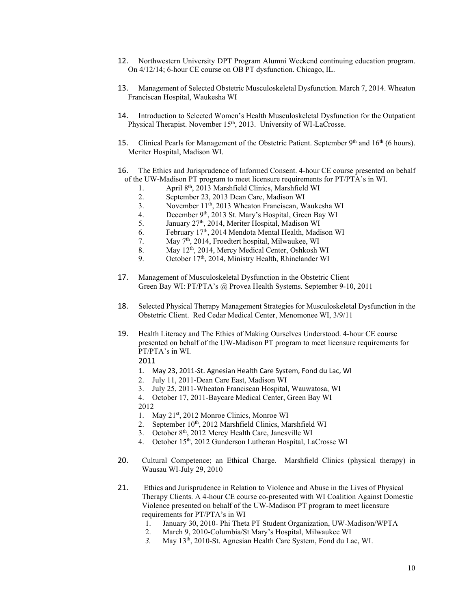- 12. Northwestern University DPT Program Alumni Weekend continuing education program. On 4/12/14; 6-hour CE course on OB PT dysfunction. Chicago, IL.
- 13. Management of Selected Obstetric Musculoskeletal Dysfunction. March 7, 2014. Wheaton Franciscan Hospital, Waukesha WI
- 14. Introduction to Selected Women's Health Musculoskeletal Dysfunction for the Outpatient Physical Therapist. November 15<sup>th</sup>, 2013. University of WI-LaCrosse.
- 15. Clinical Pearls for Management of the Obstetric Patient. September  $9<sup>th</sup>$  and  $16<sup>th</sup>$  (6 hours). Meriter Hospital, Madison WI.
- 16. The Ethics and Jurisprudence of Informed Consent. 4-hour CE course presented on behalf of the UW-Madison PT program to meet licensure requirements for PT/PTA's in WI.
	- 1. April 8th, 2013 Marshfield Clinics, Marshfield WI
	- 2. September 23, 2013 Dean Care, Madison WI
	- 3. November 11th, 2013 Wheaton Franciscan, Waukesha WI
	- 4. December 9<sup>th</sup>, 2013 St. Mary's Hospital, Green Bay WI
	- 5. January 27<sup>th</sup>, 2014, Meriter Hospital, Madison WI
	- 6. February 17<sup>th</sup>, 2014 Mendota Mental Health, Madison WI
	- 7. May 7th, 2014, Froedtert hospital, Milwaukee, WI
	- 8. May  $12^{th}$ , 2014, Mercy Medical Center, Oshkosh WI<br>9. October  $17^{th}$ , 2014, Ministry Health, Rhinelander WI
	- October 17<sup>th</sup>, 2014, Ministry Health, Rhinelander WI
- 17. Management of Musculoskeletal Dysfunction in the Obstetric Client Green Bay WI: PT/PTA's @ Provea Health Systems. September 9-10, 2011
- 18. Selected Physical Therapy Management Strategies for Musculoskeletal Dysfunction in the Obstetric Client. Red Cedar Medical Center, Menomonee WI, 3/9/11
- 19. Health Literacy and The Ethics of Making Ourselves Understood. 4-hour CE course presented on behalf of the UW-Madison PT program to meet licensure requirements for PT/PTA's in WI.

## 2011

- 1. May 23, 2011-St. Agnesian Health Care System, Fond du Lac, WI
- 2. July 11, 2011-Dean Care East, Madison WI
- 3. July 25, 2011-Wheaton Franciscan Hospital, Wauwatosa, WI
- 4. October 17, 2011-Baycare Medical Center, Green Bay WI

2012

- 1. May 21<sup>st</sup>, 2012 Monroe Clinics, Monroe WI
- 2. September 10<sup>th</sup>, 2012 Marshfield Clinics, Marshfield WI
- 3. October 8th, 2012 Mercy Health Care, Janesville WI
- 4. October 15th, 2012 Gunderson Lutheran Hospital, LaCrosse WI
- 20. Cultural Competence; an Ethical Charge. Marshfield Clinics (physical therapy) in Wausau WI-July 29, 2010
- 21. Ethics and Jurisprudence in Relation to Violence and Abuse in the Lives of Physical Therapy Clients. A 4-hour CE course co-presented with WI Coalition Against Domestic Violence presented on behalf of the UW-Madison PT program to meet licensure requirements for PT/PTA's in WI
	- 1. January 30, 2010- Phi Theta PT Student Organization, UW-Madison/WPTA
	- 2. March 9, 2010-Columbia/St Mary's Hospital, Milwaukee WI
	- *3.* May 13th, 2010*-*St. Agnesian Health Care System, Fond du Lac, WI.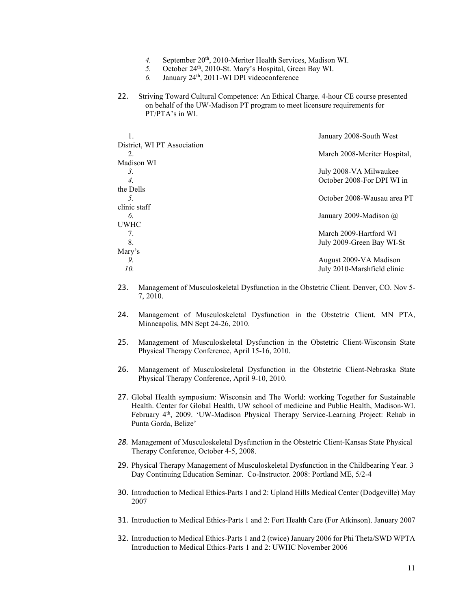- 4. September 20<sup>th</sup>, 2010-Meriter Health Services, Madison WI.
- 5. October 24<sup>th</sup>, 2010-St. Mary's Hospital, Green Bay WI.
- *6.* January 24th, 2011-WI DPI videoconference
- 22. Striving Toward Cultural Competence: An Ethical Charge. 4-hour CE course presented on behalf of the UW-Madison PT program to meet licensure requirements for PT/PTA's in WI.

|                             | January 2008-South West       |
|-----------------------------|-------------------------------|
| District, WI PT Association |                               |
| 2.                          | March 2008-Meriter Hospital,  |
| Madison WI                  |                               |
| 3.                          | July 2008-VA Milwaukee        |
| 4.                          | October 2008-For DPI WI in    |
| the Dells                   |                               |
| $\mathcal{L}$               | October 2008-Wausau area PT   |
| clinic staff                |                               |
| 6.                          | January 2009-Madison $\omega$ |
| UWHC                        |                               |
| 7.                          | March 2009-Hartford WI        |
| 8.                          | July 2009-Green Bay WI-St     |
| Mary's                      |                               |
| 9.                          | August 2009-VA Madison        |
| 10.                         | July 2010-Marshfield clinic   |
|                             |                               |

- 23. Management of Musculoskeletal Dysfunction in the Obstetric Client. Denver, CO. Nov 5- 7, 2010.
- 24. Management of Musculoskeletal Dysfunction in the Obstetric Client. MN PTA, Minneapolis, MN Sept 24-26, 2010.
- 25. Management of Musculoskeletal Dysfunction in the Obstetric Client-Wisconsin State Physical Therapy Conference, April 15-16, 2010.
- 26. Management of Musculoskeletal Dysfunction in the Obstetric Client-Nebraska State Physical Therapy Conference, April 9-10, 2010.
- 27. Global Health symposium: Wisconsin and The World: working Together for Sustainable Health. Center for Global Health, UW school of medicine and Public Health, Madison-WI. February 4<sup>th</sup>, 2009. 'UW-Madison Physical Therapy Service-Learning Project: Rehab in Punta Gorda, Belize'
- *28.* Management of Musculoskeletal Dysfunction in the Obstetric Client-Kansas State Physical Therapy Conference, October 4-5, 2008.
- 29. Physical Therapy Management of Musculoskeletal Dysfunction in the Childbearing Year. 3 Day Continuing Education Seminar. Co-Instructor. 2008: Portland ME, 5/2-4
- 30. Introduction to Medical Ethics-Parts 1 and 2: Upland Hills Medical Center (Dodgeville) May 2007
- 31. Introduction to Medical Ethics-Parts 1 and 2: Fort Health Care (For Atkinson). January 2007
- 32. Introduction to Medical Ethics-Parts 1 and 2 (twice) January 2006 for Phi Theta/SWD WPTA Introduction to Medical Ethics-Parts 1 and 2: UWHC November 2006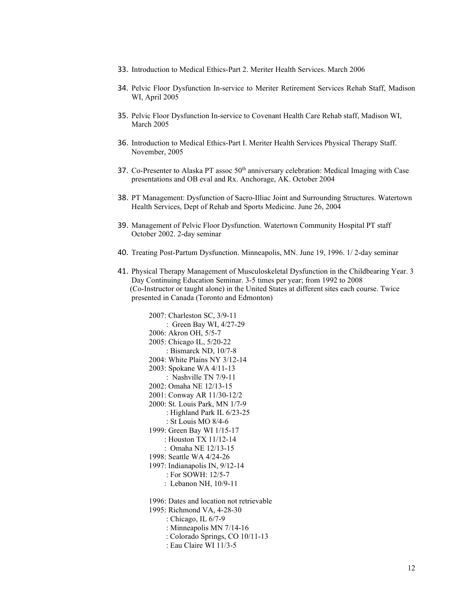- 33. Introduction to Medical Ethics-Part 2. Meriter Health Services. March 2006
- 34. Pelvic Floor Dysfunction In-service to Meriter Retirement Services Rehab Staff, Madison WI, April 2005
- 35. Pelvic Floor Dysfunction In-service to Covenant Health Care Rehab staff, Madison WI, March 2005
- 36. Introduction to Medical Ethics-Part I. Meriter Health Services Physical Therapy Staff. November, 2005
- 37. Co-Presenter to Alaska PT assoc  $50<sup>th</sup>$  anniversary celebration: Medical Imaging with Case presentations and OB eval and Rx. Anchorage, AK. October 2004
- 38. PT Management: Dysfunction of Sacro-Illiac Joint and Surrounding Structures. Watertown Health Services, Dept of Rehab and Sports Medicine. June 26, 2004
- 39. Management of Pelvic Floor Dysfunction. Watertown Community Hospital PT staff October 2002. 2-day seminar
- 40. Treating Post-Partum Dysfunction. Minneapolis, MN. June 19, 1996. 1/ 2-day seminar
- 41. Physical Therapy Management of Musculoskeletal Dysfunction in the Childbearing Year. 3 Day Continuing Education Seminar. 3-5 times per year; from 1992 to 2008 (Co-Instructor or taught alone) in the United States at different sites each course. Twice presented in Canada (Toronto and Edmonton)

2007: Charleston SC, 3/9-11 : Green Bay WI, 4/27-29 2006: Akron OH, 5/5-7 2005: Chicago IL, 5/20-22 : Bismarck ND, 10/7-8 2004: White Plains NY 3/12-14 2003: Spokane WA 4/11-13 : Nashville TN 7/9-11 2002: Omaha NE 12/13-15 2001: Conway AR 11/30-12/2 2000: St. Louis Park, MN 1/7-9 : Highland Park IL 6/23-25 : St Louis MO 8/4-6 1999: Green Bay WI 1/15-17 : Houston TX 11/12-14 : Omaha NE 12/13-15 1998: Seattle WA 4/24-26 1997: Indianapolis IN, 9/12-14 : For SOWH: 12/5-7 : Lebanon NH, 10/9-11 1996: Dates and location not retrievable 1995: Richmond VA, 4-28-30 : Chicago, IL 6/7-9 : Minneapolis MN 7/14-16 : Colorado Springs, CO 10/11-13 : Eau Claire WI 11/3-5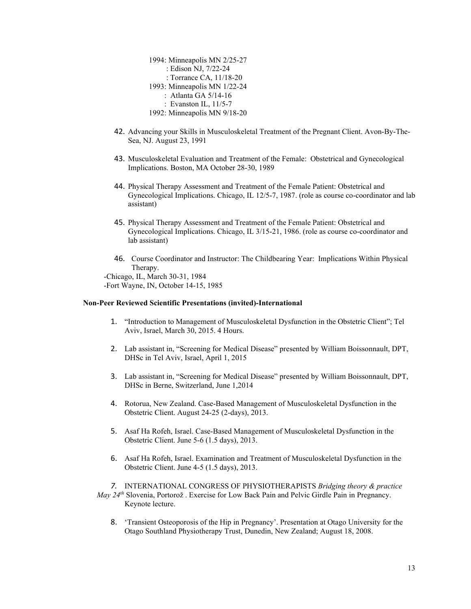1994: Minneapolis MN 2/25-27 : Edison NJ, 7/22-24 : Torrance CA, 11/18-20 1993: Minneapolis MN 1/22-24 : Atlanta GA 5/14-16 : Evanston IL, 11/5-7 1992: Minneapolis MN 9/18-20

- 42. Advancing your Skills in Musculoskeletal Treatment of the Pregnant Client. Avon-By-The-Sea, NJ. August 23, 1991
- 43. Musculoskeletal Evaluation and Treatment of the Female: Obstetrical and Gynecological Implications. Boston, MA October 28-30, 1989
- 44. Physical Therapy Assessment and Treatment of the Female Patient: Obstetrical and Gynecological Implications. Chicago, IL 12/5-7, 1987. (role as course co-coordinator and lab assistant)
- 45. Physical Therapy Assessment and Treatment of the Female Patient: Obstetrical and Gynecological Implications. Chicago, IL 3/15-21, 1986. (role as course co-coordinator and lab assistant)
- 46. Course Coordinator and Instructor: The Childbearing Year: Implications Within Physical Therapy. -Chicago, IL, March 30-31, 1984 -Fort Wayne, IN, October 14-15, 1985

#### **Non-Peer Reviewed Scientific Presentations (invited)-International**

- 1. "Introduction to Management of Musculoskeletal Dysfunction in the Obstetric Client"; Tel Aviv, Israel, March 30, 2015. 4 Hours.
- 2. Lab assistant in, "Screening for Medical Disease" presented by William Boissonnault, DPT, DHSc in Tel Aviv, Israel, April 1, 2015
- 3. Lab assistant in, "Screening for Medical Disease" presented by William Boissonnault, DPT, DHSc in Berne, Switzerland, June 1,2014
- 4. Rotorua, New Zealand. Case-Based Management of Musculoskeletal Dysfunction in the Obstetric Client. August 24-25 (2-days), 2013.
- 5. Asaf Ha Rofeh, Israel. Case-Based Management of Musculoskeletal Dysfunction in the Obstetric Client. June 5-6 (1.5 days), 2013.
- 6. Asaf Ha Rofeh, Israel. Examination and Treatment of Musculoskeletal Dysfunction in the Obstetric Client. June 4-5 (1.5 days), 2013.

*7.* INTERNATIONAL CONGRESS OF PHYSIOTHERAPISTS *Bridging theory & practice May 24th* Slovenia, Portorož . Exercise for Low Back Pain and Pelvic Girdle Pain in Pregnancy. Keynote lecture.

8. 'Transient Osteoporosis of the Hip in Pregnancy'. Presentation at Otago University for the Otago Southland Physiotherapy Trust, Dunedin, New Zealand; August 18, 2008.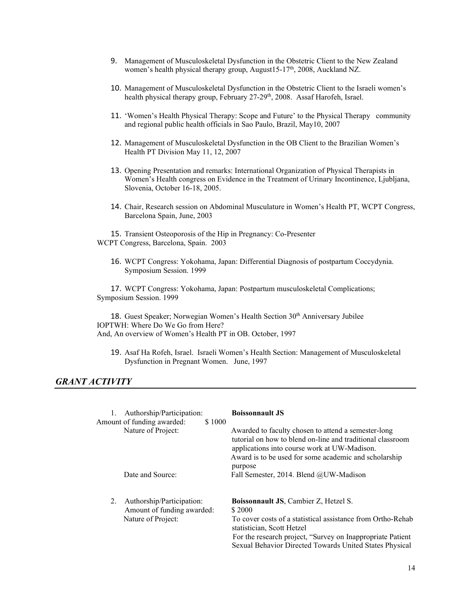- 9. Management of Musculoskeletal Dysfunction in the Obstetric Client to the New Zealand women's health physical therapy group, August15-17<sup>th</sup>, 2008, Auckland NZ.
- 10. Management of Musculoskeletal Dysfunction in the Obstetric Client to the Israeli women's health physical therapy group, February 27-29<sup>th</sup>, 2008. Assaf Harofeh, Israel.
- 11. 'Women's Health Physical Therapy: Scope and Future' to the Physical Therapy community and regional public health officials in Sao Paulo, Brazil, May10, 2007
- 12. Management of Musculoskeletal Dysfunction in the OB Client to the Brazilian Women's Health PT Division May 11, 12, 2007
- 13. Opening Presentation and remarks: International Organization of Physical Therapists in Women's Health congress on Evidence in the Treatment of Urinary Incontinence, Ljubljana, Slovenia, October 16-18, 2005.
- 14. Chair, Research session on Abdominal Musculature in Women's Health PT, WCPT Congress, Barcelona Spain, June, 2003

15. Transient Osteoporosis of the Hip in Pregnancy: Co-Presenter WCPT Congress, Barcelona, Spain. 2003

16. WCPT Congress: Yokohama, Japan: Differential Diagnosis of postpartum Coccydynia. Symposium Session. 1999

17. WCPT Congress: Yokohama, Japan: Postpartum musculoskeletal Complications; Symposium Session. 1999

18. Guest Speaker; Norwegian Women's Health Section 30<sup>th</sup> Anniversary Jubilee IOPTWH: Where Do We Go from Here? And, An overview of Women's Health PT in OB. October, 1997

19. Asaf Ha Rofeh, Israel. Israeli Women's Health Section: Management of Musculoskeletal Dysfunction in Pregnant Women. June, 1997

## *GRANT ACTIVITY*

| Authorship/Participation:<br>Amount of funding awarded:<br>\$1000                   | <b>Boissonnault JS</b>                                                                                                                                                                                                                                                       |
|-------------------------------------------------------------------------------------|------------------------------------------------------------------------------------------------------------------------------------------------------------------------------------------------------------------------------------------------------------------------------|
| Nature of Project:                                                                  | Awarded to faculty chosen to attend a semester-long<br>tutorial on how to blend on-line and traditional classroom<br>applications into course work at UW-Madison.<br>Award is to be used for some academic and scholarship<br>purpose                                        |
| Date and Source:                                                                    | Fall Semester, 2014. Blend @UW-Madison                                                                                                                                                                                                                                       |
| Authorship/Participation:<br>2.<br>Amount of funding awarded:<br>Nature of Project: | <b>Boissonnault JS, Cambier Z, Hetzel S.</b><br>\$2000<br>To cover costs of a statistical assistance from Ortho-Rehab<br>statistician, Scott Hetzel<br>For the research project, "Survey on Inappropriate Patient<br>Sexual Behavior Directed Towards United States Physical |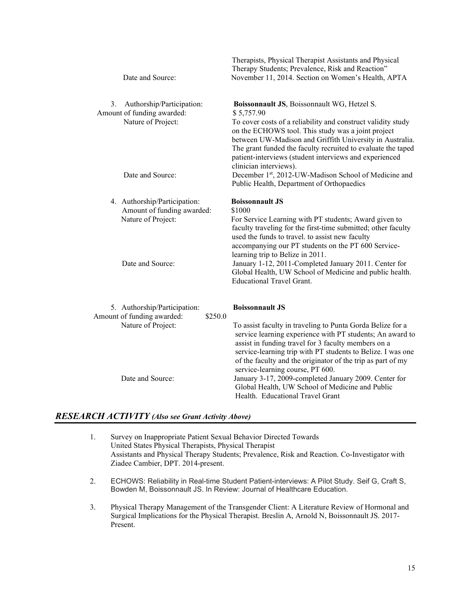|    | Date and Source:                                                                            | Therapists, Physical Therapist Assistants and Physical<br>Therapy Students; Prevalence, Risk and Reaction"<br>November 11, 2014. Section on Women's Health, APTA                                                                                                                                            |
|----|---------------------------------------------------------------------------------------------|-------------------------------------------------------------------------------------------------------------------------------------------------------------------------------------------------------------------------------------------------------------------------------------------------------------|
| 3. | Authorship/Participation:<br>Amount of funding awarded:<br>Nature of Project:               | Boissonnault JS, Boissonnault WG, Hetzel S.<br>\$5,757.90<br>To cover costs of a reliability and construct validity study<br>on the ECHOWS tool. This study was a joint project<br>between UW-Madison and Griffith University in Australia.<br>The grant funded the faculty recruited to evaluate the taped |
|    | Date and Source:                                                                            | patient-interviews (student interviews and experienced<br>clinician interviews).<br>December 1st, 2012-UW-Madison School of Medicine and<br>Public Health, Department of Orthopaedics                                                                                                                       |
|    | 4. Authorship/Participation:<br>Amount of funding awarded:<br>Nature of Project:            | <b>Boissonnault JS</b><br>\$1000<br>For Service Learning with PT students; Award given to<br>faculty traveling for the first-time submitted; other faculty<br>used the funds to travel. to assist new faculty<br>accompanying our PT students on the PT 600 Service-                                        |
|    | Date and Source:                                                                            | learning trip to Belize in 2011.<br>January 1-12, 2011-Completed January 2011. Center for<br>Global Health, UW School of Medicine and public health.<br><b>Educational Travel Grant.</b>                                                                                                                    |
|    | 5. Authorship/Participation:<br>Amount of funding awarded:<br>\$250.0<br>Nature of Project: | <b>Boissonnault JS</b><br>To assist faculty in traveling to Punta Gorda Belize for a<br>service learning experience with PT students; An award to<br>assist in funding travel for 3 faculty members on a<br>service-learning trip with PT students to Belize. I was one                                     |
|    | Date and Source:                                                                            | of the faculty and the originator of the trip as part of my<br>service-learning course, PT 600.<br>January 3-17, 2009-completed January 2009. Center for<br>Global Health, UW School of Medicine and Public<br>Health. Educational Travel Grant                                                             |

# *RESEARCH ACTIVITY (Also see Grant Activity Above)*

- 1. Survey on Inappropriate Patient Sexual Behavior Directed Towards United States Physical Therapists, Physical Therapist Assistants and Physical Therapy Students; Prevalence, Risk and Reaction. Co-Investigator with Ziadee Cambier, DPT. 2014-present.
- 2. ECHOWS: Reliability in Real-time Student Patient-interviews: A Pilot Study. Seif G, Craft S, Bowden M, Boissonnault JS. In Review: Journal of Healthcare Education.
- 3. Physical Therapy Management of the Transgender Client: A Literature Review of Hormonal and Surgical Implications for the Physical Therapist. Breslin A, Arnold N, Boissonnault JS. 2017- Present.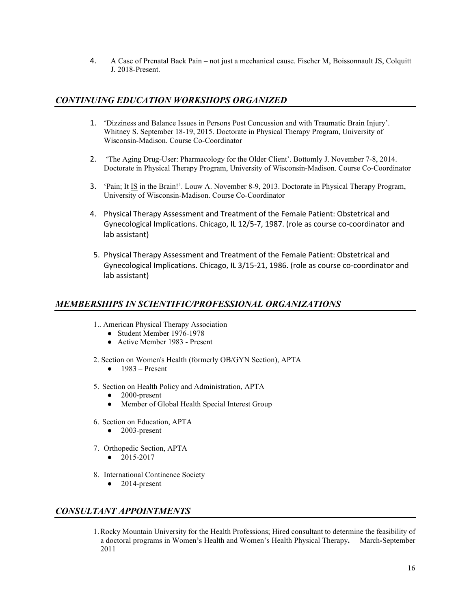4. A Case of Prenatal Back Pain – not just a mechanical cause. Fischer M, Boissonnault JS, Colquitt J. 2018-Present.

# *CONTINUING EDUCATION WORKSHOPS ORGANIZED*

- 1. 'Dizziness and Balance Issues in Persons Post Concussion and with Traumatic Brain Injury'. Whitney S. September 18-19, 2015. Doctorate in Physical Therapy Program, University of Wisconsin-Madison. Course Co-Coordinator
- 2. 'The Aging Drug-User: Pharmacology for the Older Client'. Bottomly J. November 7-8, 2014. Doctorate in Physical Therapy Program, University of Wisconsin-Madison. Course Co-Coordinator
- 3. 'Pain; It IS in the Brain!'. Louw A. November 8-9, 2013. Doctorate in Physical Therapy Program, University of Wisconsin-Madison. Course Co-Coordinator
- 4. Physical Therapy Assessment and Treatment of the Female Patient: Obstetrical and Gynecological Implications. Chicago, IL 12/5-7, 1987. (role as course co-coordinator and lab assistant)
- 5. Physical Therapy Assessment and Treatment of the Female Patient: Obstetrical and Gynecological Implications. Chicago, IL 3/15-21, 1986. (role as course co-coordinator and lab assistant)

# *MEMBERSHIPS IN SCIENTIFIC/PROFESSIONAL ORGANIZATIONS*

- 1.. American Physical Therapy Association
	- Student Member 1976-1978
	- Active Member 1983 Present
- 2. Section on Women's Health (formerly OB/GYN Section), APTA
	- $\bullet$  1983 Present
- 5. Section on Health Policy and Administration, APTA
	- 2000-present
	- Member of Global Health Special Interest Group
- 6. Section on Education, APTA
	- $\bullet$  2003-present
- 7. Orthopedic Section, APTA
	- 2015-2017
- 8. International Continence Society
	- $\bullet$  2014-present

# *CONSULTANT APPOINTMENTS*

1.Rocky Mountain University for the Health Professions; Hired consultant to determine the feasibility of a doctoral programs in Women's Health and Women's Health Physical Therapy**.** March**-**September 2011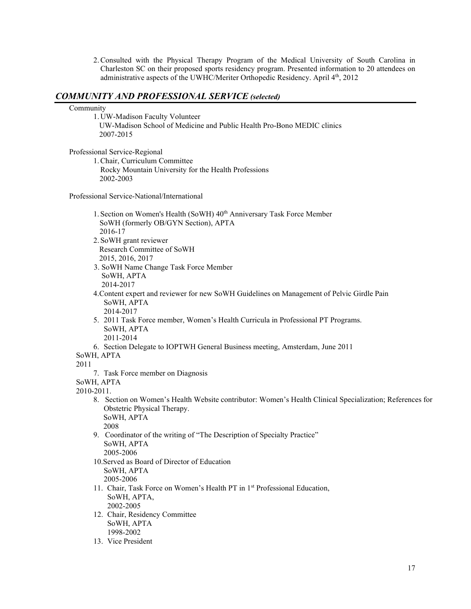2.Consulted with the Physical Therapy Program of the Medical University of South Carolina in Charleston SC on their proposed sports residency program. Presented information to 20 attendees on administrative aspects of the UWHC/Meriter Orthopedic Residency. April 4<sup>th</sup>, 2012

## *COMMUNITY AND PROFESSIONAL SERVICE (selected)*

#### Community

1. UW-Madison Faculty Volunteer UW-Madison School of Medicine and Public Health Pro-Bono MEDIC clinics 2007-2015

Professional Service-Regional

1.Chair, Curriculum Committee Rocky Mountain University for the Health Professions 2002-2003

Professional Service-National/International

- 1. Section on Women's Health (SoWH) 40<sup>th</sup> Anniversary Task Force Member SoWH (formerly OB/GYN Section), APTA 2016-17
- 2. SoWH grant reviewer Research Committee of SoWH 2015, 2016, 2017
- 3. SoWH Name Change Task Force Member SoWH, APTA 2014-2017
- 4.Content expert and reviewer for new SoWH Guidelines on Management of Pelvic Girdle Pain SoWH, APTA 2014-2017
- 5. 2011 Task Force member, Women's Health Curricula in Professional PT Programs. SoWH, APTA

2011-2014

- 6. Section Delegate to IOPTWH General Business meeting, Amsterdam, June 2011
- SoWH, APTA

2011

7. Task Force member on Diagnosis

SoWH, APTA

2010-2011.

8. Section on Women's Health Website contributor: Women's Health Clinical Specialization; References for Obstetric Physical Therapy. SoWH, APTA

2008

9. Coordinator of the writing of "The Description of Specialty Practice" SoWH, APTA

2005-2006

10.Served as Board of Director of Education SoWH, APTA

2005-2006

- 11. Chair, Task Force on Women's Health PT in 1<sup>st</sup> Professional Education, SoWH, APTA, 2002-2005
- 12. Chair, Residency Committee SoWH, APTA 1998-2002
- 13. Vice President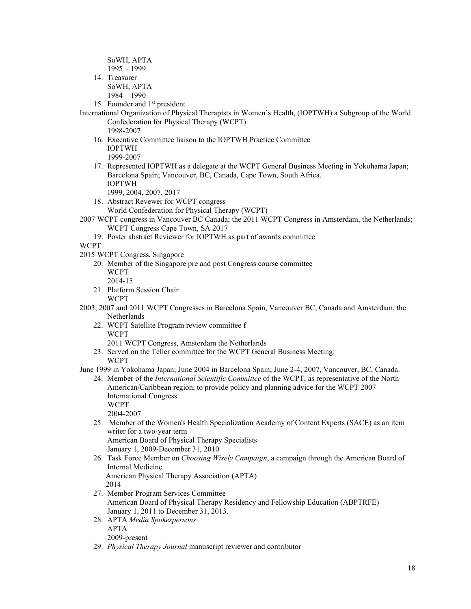SoWH, APTA 1995 – 1999

14. Treasurer

SoWH, APTA 1984 – 1990

- 15. Founder and 1<sup>st</sup> president
- International Organization of Physical Therapists in Women's Health, (IOPTWH) a Subgroup of the World Confederation for Physical Therapy (WCPT)

1998-2007

- 16. Executive Committee liaison to the IOPTWH Practice Committee IOPTWH 1999-2007
- 17. Represented IOPTWH as a delegate at the WCPT General Business Meeting in Yokohama Japan; Barcelona Spain; Vancouver, BC, Canada, Cape Town, South Africa. IOPTWH
	- 1999, 2004, 2007, 2017
- 18. Abstract Revewer for WCPT congress World Confederation for Physical Therapy (WCPT)
- 2007 WCPT congress in Vancouver BC Canada; the 2011 WCPT Congress in Amsterdam, the Netherlands; WCPT Congress Cape Town, SA 2017
	- 19. Poster abstract Reviewer for IOPTWH as part of awards committee

**WCPT** 

- 2015 WCPT Congress, Singapore
	- 20. Member of the Singapore pre and post Congress course committee WCPT
	- 2014-15 21. Platform Session Chair
		- WCPT
- 2003, 2007 and 2011 WCPT Congresses in Barcelona Spain, Vancouver BC, Canada and Amsterdam, the Netherlands
	- 22. WCPT Satellite Program review committee f WCPT
		- 2011 WCPT Congress, Amsterdam the Netherlands
	- 23. Served on the Teller committee for the WCPT General Business Meeting: **WCPT**

June 1999 in Yokohama Japan; June 2004 in Barcelona Spain; June 2-4, 2007, Vancouver, BC, Canada.

24. Member of the *International Scientific Committee* of the WCPT, as representative of the North American/Caribbean region, to provide policy and planning advice for the WCPT 2007 International Congress. WCPT

2004-2007

25. Member of the Women's Health Specialization Academy of Content Experts (SACE) as an item writer for a two-year term

American Board of Physical Therapy Specialists January 1, 2009-December 31, 2010

26. Task Force Member on *Choosing Wisely Campaign*, a campaign through the American Board of Internal Medicine

American Physical Therapy Association (APTA) 2014

- 27. Member Program Services Committee American Board of Physical Therapy Residency and Fellowship Education (ABPTRFE) January 1, 2011 to December 31, 2013.
- 28. APTA *Media Spokespersons*  APTA 2009-present
- 29. *Physical Therapy Journal* manuscript reviewer and contributor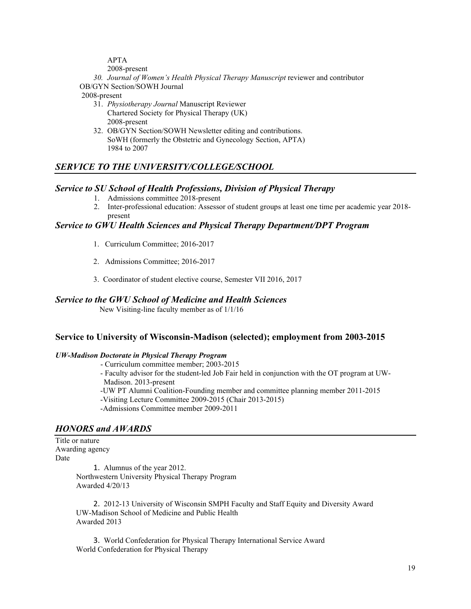APTA

2008-present

*30. Journal of Women's Health Physical Therapy Manuscript* reviewer and contributor OB/GYN Section/SOWH Journal

2008-present

- 31. *Physiotherapy Journal* Manuscript Reviewer Chartered Society for Physical Therapy (UK) 2008-present
- 32. OB/GYN Section/SOWH Newsletter editing and contributions. SoWH (formerly the Obstetric and Gynecology Section, APTA) 1984 to 2007

# *SERVICE TO THE UNIVERSITY/COLLEGE/SCHOOL*

# *Service to SU School of Health Professions, Division of Physical Therapy*

- 1. Admissions committee 2018-present
- 2. Inter-professional education: Assessor of student groups at least one time per academic year 2018 present

# *Service to GWU Health Sciences and Physical Therapy Department/DPT Program*

- 1. Curriculum Committee; 2016-2017
- 2. Admissions Committee; 2016-2017
- 3. Coordinator of student elective course, Semester VII 2016, 2017

# *Service to the GWU School of Medicine and Health Sciences*

New Visiting-line faculty member as of 1/1/16

# **Service to University of Wisconsin-Madison (selected); employment from 2003-2015**

### *UW-Madison Doctorate in Physical Therapy Program*

- Curriculum committee member; 2003-2015
- Faculty advisor for the student-led Job Fair held in conjunction with the OT program at UW-Madison. 2013-present
- -UW PT Alumni Coalition-Founding member and committee planning member 2011-2015
- -Visiting Lecture Committee 2009-2015 (Chair 2013-2015)
- -Admissions Committee member 2009-2011

# *HONORS and AWARDS*

Title or nature Awarding agency Date

1. Alumnus of the year 2012. Northwestern University Physical Therapy Program Awarded 4/20/13

2. 2012-13 University of Wisconsin SMPH Faculty and Staff Equity and Diversity Award UW-Madison School of Medicine and Public Health Awarded 2013

3. World Confederation for Physical Therapy International Service Award World Confederation for Physical Therapy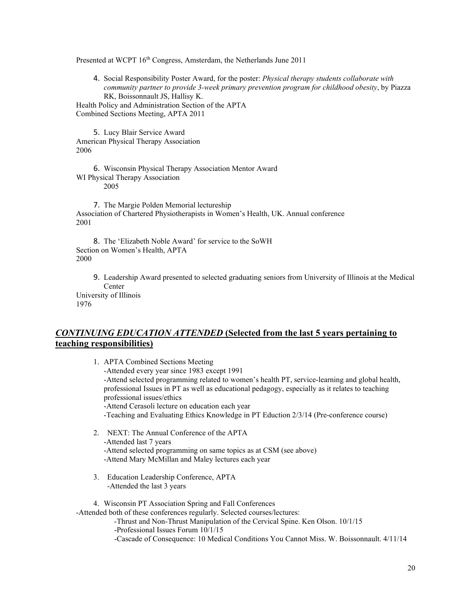Presented at WCPT 16<sup>th</sup> Congress, Amsterdam, the Netherlands June 2011

4. Social Responsibility Poster Award, for the poster: *Physical therapy students collaborate with community partner to provide 3-week primary prevention program for childhood obesity*, by Piazza RK, Boissonnault JS, Hallisy K. Health Policy and Administration Section of the APTA

Combined Sections Meeting, APTA 2011

5. Lucy Blair Service Award American Physical Therapy Association 2006

6. Wisconsin Physical Therapy Association Mentor Award WI Physical Therapy Association 2005

7. The Margie Polden Memorial lectureship Association of Chartered Physiotherapists in Women's Health, UK. Annual conference 2001

8. The 'Elizabeth Noble Award' for service to the SoWH Section on Women's Health, APTA 2000

9. Leadership Award presented to selected graduating seniors from University of Illinois at the Medical Center

University of Illinois 1976

# *CONTINUING EDUCATION ATTENDED* **(Selected from the last 5 years pertaining to teaching responsibilities)**

- 1. APTA Combined Sections Meeting -Attended every year since 1983 except 1991 -Attend selected programming related to women's health PT, service-learning and global health, professional Issues in PT as well as educational pedagogy, especially as it relates to teaching professional issues/ethics -Attend Cerasoli lecture on education each year -Teaching and Evaluating Ethics Knowledge in PT Eduction 2/3/14 (Pre-conference course)
- 2. NEXT: The Annual Conference of the APTA -Attended last 7 years -Attend selected programming on same topics as at CSM (see above) -Attend Mary McMillan and Maley lectures each year
- 3. Education Leadership Conference, APTA -Attended the last 3 years

4. Wisconsin PT Association Spring and Fall Conferences

-Attended both of these conferences regularly. Selected courses/lectures:

-Thrust and Non-Thrust Manipulation of the Cervical Spine. Ken Olson. 10/1/15

-Professional Issues Forum 10/1/15

-Cascade of Consequence: 10 Medical Conditions You Cannot Miss. W. Boissonnault. 4/11/14